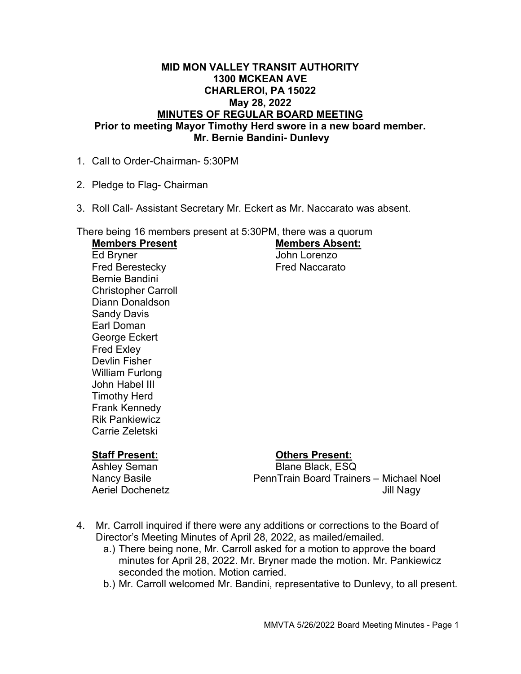#### MID MON VALLEY TRANSIT AUTHORITY 1300 MCKEAN AVE CHARLEROI, PA 15022 May 28, 2022 MINUTES OF REGULAR BOARD MEETING Prior to meeting Mayor Timothy Herd swore in a new board member. Mr. Bernie Bandini- Dunlevy

- 1. Call to Order-Chairman- 5:30PM
- 2. Pledge to Flag- Chairman
- 3. Roll Call- Assistant Secretary Mr. Eckert as Mr. Naccarato was absent.

There being 16 members present at 5:30PM, there was a quorum<br>Mambers Present Members Dresset

| <b>Members Present</b>     | <b>Members Absent.</b> |
|----------------------------|------------------------|
| Ed Bryner                  | John Lorenzo           |
| <b>Fred Berestecky</b>     | <b>Fred Naccarato</b>  |
| Bernie Bandini             |                        |
| <b>Christopher Carroll</b> |                        |
| Diann Donaldson            |                        |
| <b>Sandy Davis</b>         |                        |
| Earl Doman                 |                        |
| George Eckert              |                        |
| <b>Fred Exley</b>          |                        |
| Devlin Fisher              |                        |
| William Furlong            |                        |
| John Habel III             |                        |
| Timothy Herd               |                        |
| <b>Frank Kennedy</b>       |                        |
| <b>Rik Pankiewicz</b>      |                        |
| Carrie Zeletski            |                        |

# Staff Present: Others Present:

Ashley Seman Blane Black, ESQ Nancy Basile PennTrain Board Trainers – Michael Noel Aeriel Dochenetz **Acceleration Acceleration** Jill Nagy

- 4. Mr. Carroll inquired if there were any additions or corrections to the Board of Director's Meeting Minutes of April 28, 2022, as mailed/emailed.
	- a.) There being none, Mr. Carroll asked for a motion to approve the board minutes for April 28, 2022. Mr. Bryner made the motion. Mr. Pankiewicz seconded the motion. Motion carried.
	- b.) Mr. Carroll welcomed Mr. Bandini, representative to Dunlevy, to all present.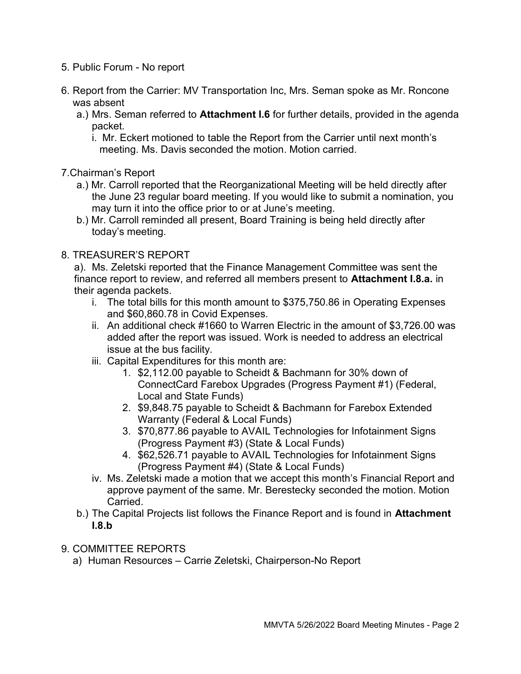- 5. Public Forum No report
- 6. Report from the Carrier: MV Transportation Inc, Mrs. Seman spoke as Mr. Roncone was absent
	- a.) Mrs. Seman referred to **Attachment I.6** for further details, provided in the agenda packet.
		- i. Mr. Eckert motioned to table the Report from the Carrier until next month's meeting. Ms. Davis seconded the motion. Motion carried.

### 7.Chairman's Report

- a.) Mr. Carroll reported that the Reorganizational Meeting will be held directly after the June 23 regular board meeting. If you would like to submit a nomination, you may turn it into the office prior to or at June's meeting.
- b.) Mr. Carroll reminded all present, Board Training is being held directly after today's meeting.

### 8. TREASURER'S REPORT

a). Ms. Zeletski reported that the Finance Management Committee was sent the finance report to review, and referred all members present to Attachment I.8.a. in their agenda packets.

- i. The total bills for this month amount to \$375,750.86 in Operating Expenses and \$60,860.78 in Covid Expenses.
- ii. An additional check #1660 to Warren Electric in the amount of \$3,726.00 was added after the report was issued. Work is needed to address an electrical issue at the bus facility.
- iii. Capital Expenditures for this month are:
	- 1. \$2,112.00 payable to Scheidt & Bachmann for 30% down of ConnectCard Farebox Upgrades (Progress Payment #1) (Federal, Local and State Funds)
	- 2. \$9,848.75 payable to Scheidt & Bachmann for Farebox Extended Warranty (Federal & Local Funds)
	- 3. \$70,877.86 payable to AVAIL Technologies for Infotainment Signs (Progress Payment #3) (State & Local Funds)
	- 4. \$62,526.71 payable to AVAIL Technologies for Infotainment Signs (Progress Payment #4) (State & Local Funds)
- iv. Ms. Zeletski made a motion that we accept this month's Financial Report and approve payment of the same. Mr. Berestecky seconded the motion. Motion Carried.
- b.) The Capital Projects list follows the Finance Report and is found in Attachment  $I.8.b$
- 9. COMMITTEE REPORTS
	- a) Human Resources Carrie Zeletski, Chairperson-No Report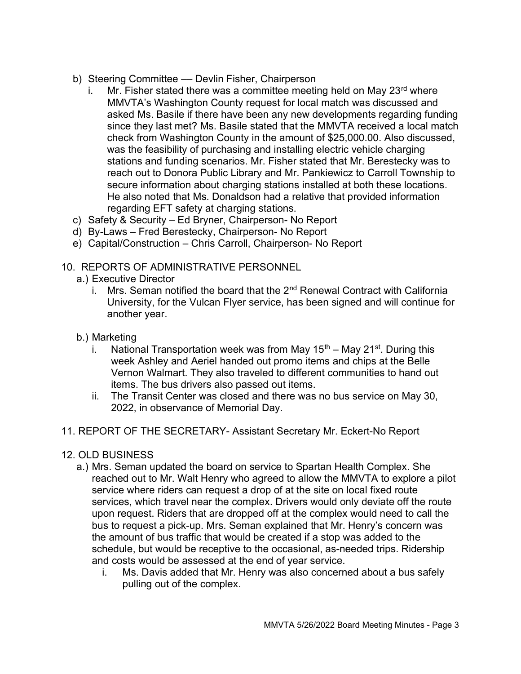- b) Steering Committee Devlin Fisher, Chairperson
	- i. Mr. Fisher stated there was a committee meeting held on May  $23<sup>rd</sup>$  where MMVTA's Washington County request for local match was discussed and asked Ms. Basile if there have been any new developments regarding funding since they last met? Ms. Basile stated that the MMVTA received a local match check from Washington County in the amount of \$25,000.00. Also discussed, was the feasibility of purchasing and installing electric vehicle charging stations and funding scenarios. Mr. Fisher stated that Mr. Berestecky was to reach out to Donora Public Library and Mr. Pankiewicz to Carroll Township to secure information about charging stations installed at both these locations. He also noted that Ms. Donaldson had a relative that provided information regarding EFT safety at charging stations.
- c) Safety & Security Ed Bryner, Chairperson- No Report
- d) By-Laws Fred Berestecky, Chairperson- No Report
- e) Capital/Construction Chris Carroll, Chairperson- No Report

# 10. REPORTS OF ADMINISTRATIVE PERSONNEL

- a.) Executive Director
	- i. Mrs. Seman notified the board that the  $2<sup>nd</sup>$  Renewal Contract with California University, for the Vulcan Flyer service, has been signed and will continue for another year.
- b.) Marketing
	- i. National Transportation week was from May  $15<sup>th</sup>$  May  $21<sup>st</sup>$ . During this week Ashley and Aeriel handed out promo items and chips at the Belle Vernon Walmart. They also traveled to different communities to hand out items. The bus drivers also passed out items.
	- ii. The Transit Center was closed and there was no bus service on May 30, 2022, in observance of Memorial Day.
- 11. REPORT OF THE SECRETARY- Assistant Secretary Mr. Eckert-No Report
- 12. OLD BUSINESS
	- a.) Mrs. Seman updated the board on service to Spartan Health Complex. She reached out to Mr. Walt Henry who agreed to allow the MMVTA to explore a pilot service where riders can request a drop of at the site on local fixed route services, which travel near the complex. Drivers would only deviate off the route upon request. Riders that are dropped off at the complex would need to call the bus to request a pick-up. Mrs. Seman explained that Mr. Henry's concern was the amount of bus traffic that would be created if a stop was added to the schedule, but would be receptive to the occasional, as-needed trips. Ridership and costs would be assessed at the end of year service.
		- i. Ms. Davis added that Mr. Henry was also concerned about a bus safely pulling out of the complex.